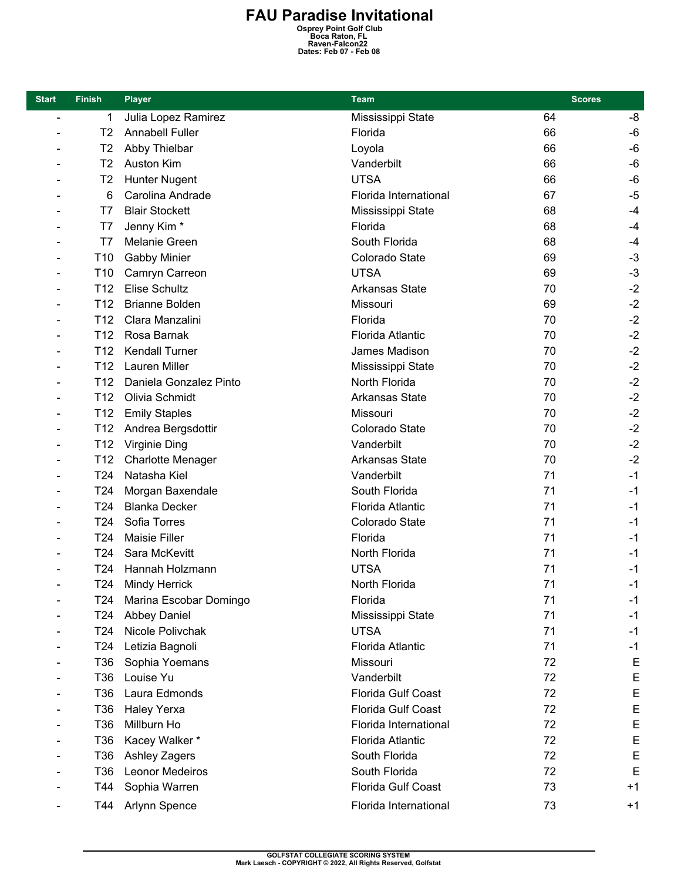## **FAU Paradise Invitational**<br>
<sup>Osprey Point Golf Club<br>
Boca Raton, FL<br>
Raven-Falcon22<br>
Dates: Feb 07 - Feb 08</sup>

| <b>Start</b>                 | <b>Finish</b>   | <b>Player</b>              | <b>Team</b>             | <b>Scores</b> |      |
|------------------------------|-----------------|----------------------------|-------------------------|---------------|------|
| $\blacksquare$               | 1               | Julia Lopez Ramirez        | Mississippi State       | 64            | -8   |
|                              | T <sub>2</sub>  | <b>Annabell Fuller</b>     | Florida                 | 66            | -6   |
|                              | T <sub>2</sub>  | Abby Thielbar              | Loyola                  | 66            | -6   |
| $\qquad \qquad \blacksquare$ | T <sub>2</sub>  | Auston Kim                 | Vanderbilt              | 66            | -6   |
|                              | T <sub>2</sub>  | Hunter Nugent              | <b>UTSA</b>             | 66            | -6   |
|                              | 6               | Carolina Andrade           | Florida International   | 67            | $-5$ |
|                              | T7              | <b>Blair Stockett</b>      | Mississippi State       | 68            | $-4$ |
|                              | T7              | Jenny Kim*                 | Florida                 | 68            | $-4$ |
|                              | T7              | Melanie Green              | South Florida           | 68            | -4   |
|                              | T <sub>10</sub> | <b>Gabby Minier</b>        | Colorado State          | 69            | $-3$ |
|                              | T <sub>10</sub> | Camryn Carreon             | <b>UTSA</b>             | 69            | $-3$ |
|                              | T <sub>12</sub> | Elise Schultz              | <b>Arkansas State</b>   | 70            | $-2$ |
|                              | T <sub>12</sub> | <b>Brianne Bolden</b>      | Missouri                | 69            | $-2$ |
|                              | T <sub>12</sub> | Clara Manzalini            | Florida                 | 70            | $-2$ |
|                              | T <sub>12</sub> | Rosa Barnak                | <b>Florida Atlantic</b> | 70            | $-2$ |
|                              | T <sub>12</sub> | <b>Kendall Turner</b>      | James Madison           | 70            | $-2$ |
|                              | T <sub>12</sub> | Lauren Miller              | Mississippi State       | 70            | $-2$ |
|                              | T <sub>12</sub> | Daniela Gonzalez Pinto     | North Florida           | 70            | $-2$ |
|                              | T <sub>12</sub> | Olivia Schmidt             | Arkansas State          | 70            | $-2$ |
|                              | T <sub>12</sub> | <b>Emily Staples</b>       | Missouri                | 70            | $-2$ |
|                              | T <sub>12</sub> | Andrea Bergsdottir         | Colorado State          | 70            | $-2$ |
| $\overline{\phantom{0}}$     | T12             | Virginie Ding              | Vanderbilt              | 70            | $-2$ |
|                              | T12             | <b>Charlotte Menager</b>   | <b>Arkansas State</b>   | 70            | $-2$ |
|                              | T <sub>24</sub> | Natasha Kiel               | Vanderbilt              | 71            | $-1$ |
|                              | T <sub>24</sub> | Morgan Baxendale           | South Florida           | 71            | $-1$ |
|                              | T <sub>24</sub> | <b>Blanka Decker</b>       | <b>Florida Atlantic</b> | 71            | $-1$ |
|                              | T <sub>24</sub> | Sofia Torres               | Colorado State          | 71            | $-1$ |
|                              | T <sub>24</sub> | <b>Maisie Filler</b>       | Florida                 | 71            | $-1$ |
|                              | T <sub>24</sub> | Sara McKevitt              | North Florida           | 71            | $-1$ |
|                              | T24             | Hannah Holzmann            | <b>UTSA</b>             | 71            | $-1$ |
|                              | T24 I           | <b>Mindy Herrick</b>       | North Florida           | 71            | -1   |
|                              |                 | T24 Marina Escobar Domingo | Florida                 | 71            | $-1$ |
|                              | T24             | <b>Abbey Daniel</b>        | Mississippi State       | 71            | $-1$ |
|                              | T <sub>24</sub> | Nicole Polivchak           | <b>UTSA</b>             | 71            | $-1$ |
|                              | T24             | Letizia Bagnoli            | Florida Atlantic        | 71            | $-1$ |
|                              | T36             | Sophia Yoemans             | Missouri                | 72            | E    |
|                              | T36             | Louise Yu                  | Vanderbilt              | 72            | E    |
|                              | T36             | Laura Edmonds              | Florida Gulf Coast      | 72            | E    |
|                              | T36             | <b>Haley Yerxa</b>         | Florida Gulf Coast      | 72            | E    |
|                              | T36             | Millburn Ho                | Florida International   | 72            | Ε    |
|                              | T36             | Kacey Walker*              | Florida Atlantic        | 72            | E    |
|                              | T36             | Ashley Zagers              | South Florida           | 72            | E    |
|                              | T36             | <b>Leonor Medeiros</b>     | South Florida           | 72            | E    |
|                              | T44             | Sophia Warren              | Florida Gulf Coast      | 73            | $+1$ |
|                              | T44             | Arlynn Spence              | Florida International   | 73            | $+1$ |